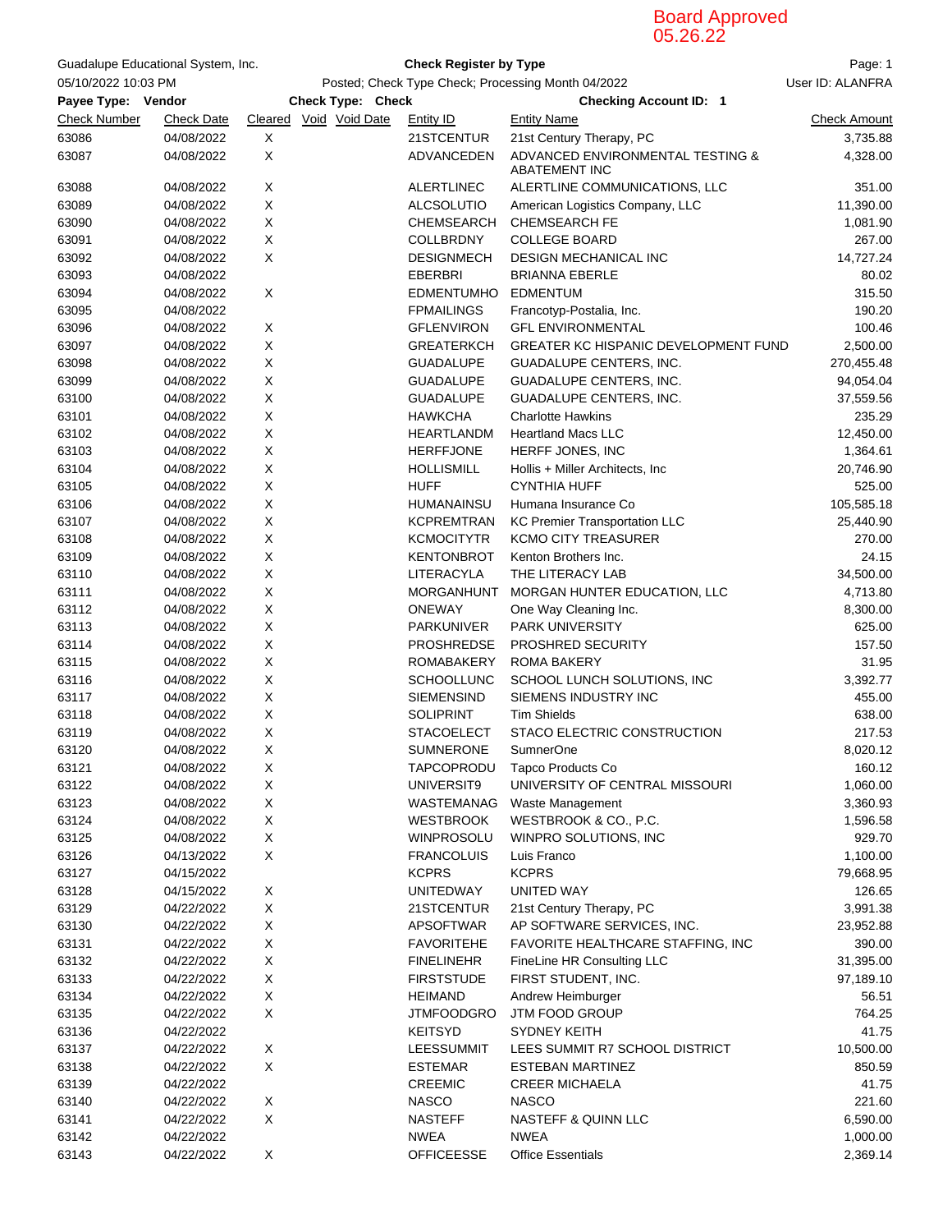## Board Approved 05.26.22

|                     | Guadalupe Educational System, Inc. |                                                    |                                                    | <b>Check Register by Type</b>                                                 |                      |  |  |
|---------------------|------------------------------------|----------------------------------------------------|----------------------------------------------------|-------------------------------------------------------------------------------|----------------------|--|--|
| 05/10/2022 10:03 PM |                                    | Posted; Check Type Check; Processing Month 04/2022 |                                                    | Page: 1<br>User ID: ALANFRA                                                   |                      |  |  |
| Payee Type: Vendor  |                                    |                                                    | Check Type: Check<br><b>Checking Account ID: 1</b> |                                                                               |                      |  |  |
| <b>Check Number</b> | <b>Check Date</b>                  | Cleared Void Void Date                             | Entity ID                                          | <b>Entity Name</b>                                                            | <b>Check Amount</b>  |  |  |
|                     |                                    |                                                    |                                                    |                                                                               |                      |  |  |
| 63086<br>63087      | 04/08/2022<br>04/08/2022           | X<br>X                                             | 21STCENTUR<br>ADVANCEDEN                           | 21st Century Therapy, PC<br>ADVANCED ENVIRONMENTAL TESTING &<br>ABATEMENT INC | 3,735.88<br>4,328.00 |  |  |
| 63088               | 04/08/2022                         | X                                                  | <b>ALERTLINEC</b>                                  | ALERTLINE COMMUNICATIONS, LLC                                                 | 351.00               |  |  |
| 63089               | 04/08/2022                         | Χ                                                  | <b>ALCSOLUTIO</b>                                  | American Logistics Company, LLC                                               | 11,390.00            |  |  |
| 63090               | 04/08/2022                         | Χ                                                  | CHEMSEARCH                                         | <b>CHEMSEARCH FE</b>                                                          | 1,081.90             |  |  |
| 63091               | 04/08/2022                         | Χ                                                  | COLLBRDNY                                          | <b>COLLEGE BOARD</b>                                                          | 267.00               |  |  |
| 63092               | 04/08/2022                         | X                                                  | <b>DESIGNMECH</b>                                  | <b>DESIGN MECHANICAL INC</b>                                                  | 14,727.24            |  |  |
| 63093               | 04/08/2022                         |                                                    | <b>EBERBRI</b>                                     | <b>BRIANNA EBERLE</b>                                                         | 80.02                |  |  |
| 63094               | 04/08/2022                         | X                                                  | <b>EDMENTUMHO</b>                                  | <b>EDMENTUM</b>                                                               | 315.50               |  |  |
| 63095               | 04/08/2022                         |                                                    | <b>FPMAILINGS</b>                                  | Francotyp-Postalia, Inc.                                                      | 190.20               |  |  |
| 63096               | 04/08/2022                         | X                                                  | <b>GFLENVIRON</b>                                  | <b>GFL ENVIRONMENTAL</b>                                                      | 100.46               |  |  |
| 63097               | 04/08/2022                         | Χ                                                  | <b>GREATERKCH</b>                                  | GREATER KC HISPANIC DEVELOPMENT FUND                                          | 2,500.00             |  |  |
| 63098               | 04/08/2022                         | Χ                                                  | <b>GUADALUPE</b>                                   | GUADALUPE CENTERS, INC.                                                       | 270,455.48           |  |  |
| 63099               | 04/08/2022                         | Χ                                                  | <b>GUADALUPE</b>                                   | <b>GUADALUPE CENTERS, INC.</b>                                                | 94,054.04            |  |  |
| 63100               | 04/08/2022                         | Χ                                                  | <b>GUADALUPE</b>                                   | <b>GUADALUPE CENTERS, INC.</b>                                                | 37,559.56            |  |  |
| 63101               | 04/08/2022                         | Χ                                                  | <b>HAWKCHA</b>                                     | <b>Charlotte Hawkins</b>                                                      | 235.29               |  |  |
| 63102               | 04/08/2022                         | X                                                  | <b>HEARTLANDM</b>                                  | <b>Heartland Macs LLC</b>                                                     | 12,450.00            |  |  |
| 63103               | 04/08/2022                         | X                                                  | <b>HERFFJONE</b>                                   | HERFF JONES, INC                                                              | 1,364.61             |  |  |
| 63104               | 04/08/2022                         | X                                                  | <b>HOLLISMILL</b>                                  | Hollis + Miller Architects, Inc.                                              | 20,746.90            |  |  |
| 63105               | 04/08/2022                         | X                                                  | <b>HUFF</b>                                        | <b>CYNTHIA HUFF</b>                                                           | 525.00               |  |  |
| 63106               | 04/08/2022                         | Χ                                                  | <b>HUMANAINSU</b>                                  | Humana Insurance Co                                                           | 105,585.18           |  |  |
| 63107               | 04/08/2022                         | Χ                                                  | <b>KCPREMTRAN</b>                                  | <b>KC Premier Transportation LLC</b>                                          | 25,440.90            |  |  |
| 63108               | 04/08/2022                         | Χ                                                  | <b>KCMOCITYTR</b>                                  | <b>KCMO CITY TREASURER</b>                                                    | 270.00               |  |  |
| 63109               | 04/08/2022                         | Χ                                                  | <b>KENTONBROT</b>                                  | Kenton Brothers Inc.                                                          | 24.15                |  |  |
| 63110               | 04/08/2022                         | Χ                                                  | LITERACYLA                                         | THE LITERACY LAB                                                              | 34,500.00            |  |  |
| 63111               | 04/08/2022                         | X                                                  | <b>MORGANHUNT</b>                                  | MORGAN HUNTER EDUCATION, LLC                                                  | 4,713.80             |  |  |
| 63112               | 04/08/2022                         | X                                                  | <b>ONEWAY</b>                                      | One Way Cleaning Inc.                                                         | 8,300.00             |  |  |
| 63113               | 04/08/2022                         | X                                                  | <b>PARKUNIVER</b>                                  | <b>PARK UNIVERSITY</b>                                                        | 625.00               |  |  |
| 63114               | 04/08/2022                         | X                                                  | <b>PROSHREDSE</b>                                  | <b>PROSHRED SECURITY</b>                                                      | 157.50               |  |  |
| 63115               | 04/08/2022                         | X                                                  | <b>ROMABAKERY</b>                                  | <b>ROMA BAKERY</b>                                                            | 31.95                |  |  |
| 63116               | 04/08/2022                         | X                                                  | <b>SCHOOLLUNC</b>                                  | SCHOOL LUNCH SOLUTIONS, INC                                                   | 3,392.77             |  |  |
| 63117               | 04/08/2022                         | Χ                                                  | <b>SIEMENSIND</b>                                  | SIEMENS INDUSTRY INC                                                          | 455.00               |  |  |
| 63118               | 04/08/2022                         | Χ                                                  | <b>SOLIPRINT</b>                                   | <b>Tim Shields</b>                                                            | 638.00               |  |  |
| 63119               | 04/08/2022                         | X                                                  | <b>STACOELECT</b>                                  | STACO ELECTRIC CONSTRUCTION                                                   | 217.53               |  |  |
| 63120               | 04/08/2022                         | X                                                  | <b>SUMNERONE</b>                                   | <b>SumnerOne</b>                                                              | 8,020.12             |  |  |
| 63121               | 04/08/2022                         | X                                                  | <b>TAPCOPRODU</b>                                  | Tapco Products Co                                                             | 160.12               |  |  |
| 63122               | 04/08/2022                         | X                                                  | UNIVERSIT9                                         | UNIVERSITY OF CENTRAL MISSOURI                                                | 1,060.00             |  |  |
| 63123               | 04/08/2022                         | X                                                  | WASTEMANAG                                         | Waste Management                                                              | 3,360.93             |  |  |
| 63124               | 04/08/2022                         | X                                                  | <b>WESTBROOK</b>                                   | WESTBROOK & CO., P.C.                                                         | 1,596.58             |  |  |
| 63125               | 04/08/2022                         | X                                                  | WINPROSOLU                                         | WINPRO SOLUTIONS, INC                                                         | 929.70               |  |  |
| 63126               | 04/13/2022                         | X                                                  | <b>FRANCOLUIS</b>                                  | Luis Franco                                                                   | 1,100.00             |  |  |
| 63127               | 04/15/2022                         |                                                    | <b>KCPRS</b>                                       | <b>KCPRS</b>                                                                  | 79,668.95            |  |  |
| 63128               | 04/15/2022                         | X                                                  | <b>UNITEDWAY</b>                                   | UNITED WAY                                                                    | 126.65               |  |  |
| 63129               | 04/22/2022                         | X                                                  | 21STCENTUR                                         | 21st Century Therapy, PC                                                      | 3,991.38             |  |  |
| 63130               | 04/22/2022                         | X                                                  | <b>APSOFTWAR</b>                                   | AP SOFTWARE SERVICES, INC.                                                    | 23,952.88            |  |  |
| 63131               | 04/22/2022                         | Χ                                                  | <b>FAVORITEHE</b>                                  | FAVORITE HEALTHCARE STAFFING, INC                                             | 390.00               |  |  |
| 63132               | 04/22/2022                         | X                                                  | <b>FINELINEHR</b>                                  | FineLine HR Consulting LLC                                                    | 31,395.00            |  |  |
| 63133               | 04/22/2022                         | X                                                  | <b>FIRSTSTUDE</b>                                  | FIRST STUDENT, INC.                                                           | 97,189.10            |  |  |
| 63134               | 04/22/2022                         | X                                                  | <b>HEIMAND</b>                                     | Andrew Heimburger                                                             | 56.51                |  |  |
| 63135               | 04/22/2022                         | X                                                  | <b>JTMFOODGRO</b>                                  | JTM FOOD GROUP                                                                | 764.25               |  |  |
| 63136               |                                    |                                                    | <b>KEITSYD</b>                                     | <b>SYDNEY KEITH</b>                                                           | 41.75                |  |  |
| 63137               | 04/22/2022<br>04/22/2022           | X                                                  | <b>LEESSUMMIT</b>                                  | LEES SUMMIT R7 SCHOOL DISTRICT                                                | 10,500.00            |  |  |
| 63138               | 04/22/2022                         | X                                                  | <b>ESTEMAR</b>                                     | ESTEBAN MARTINEZ                                                              | 850.59               |  |  |
| 63139               | 04/22/2022                         |                                                    | <b>CREEMIC</b>                                     | <b>CREER MICHAELA</b>                                                         | 41.75                |  |  |
|                     |                                    |                                                    |                                                    |                                                                               |                      |  |  |
| 63140               | 04/22/2022                         | X<br>X                                             | <b>NASCO</b>                                       | <b>NASCO</b>                                                                  | 221.60               |  |  |
| 63141               | 04/22/2022                         |                                                    | <b>NASTEFF</b>                                     | NASTEFF & QUINN LLC                                                           | 6,590.00             |  |  |
| 63142               | 04/22/2022                         |                                                    | <b>NWEA</b>                                        | <b>NWEA</b>                                                                   | 1,000.00             |  |  |
| 63143               | 04/22/2022                         | X                                                  | <b>OFFICEESSE</b>                                  | <b>Office Essentials</b>                                                      | 2,369.14             |  |  |